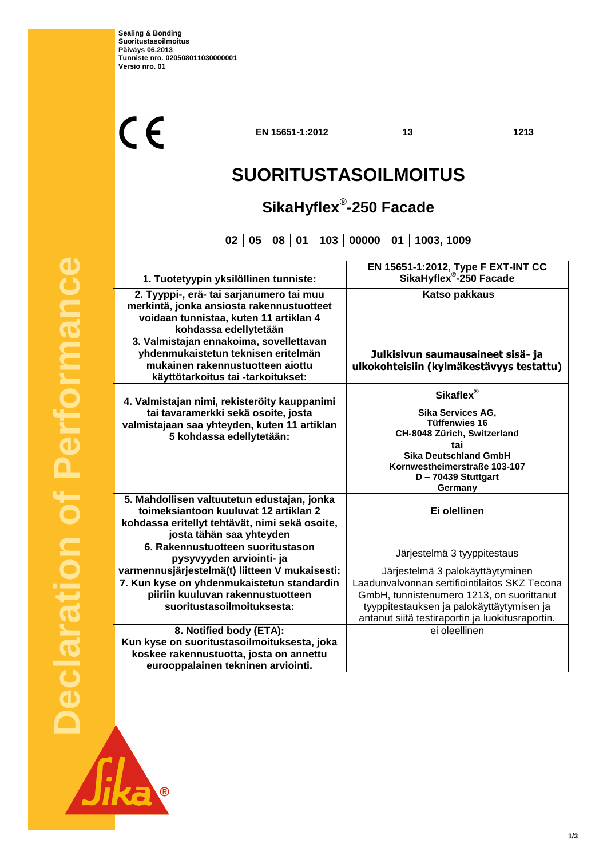$C<sub>f</sub>$ 

**EN 15651-1:2012 13 1213**

٦

## **SUORITUSTASOILMOITUS**

### **SikaHyflex® -250 Facade**

**02 05 08 01 103 00000 01 1003, 1009**

| 1. Tuotetyypin yksilöllinen tunniste:          | EN 15651-1:2012, Type F EXT-INT CC<br>SikaHyflex <sup>®</sup> -250 Facade |  |
|------------------------------------------------|---------------------------------------------------------------------------|--|
|                                                |                                                                           |  |
| 2. Tyyppi-, erä- tai sarjanumero tai muu       | <b>Katso pakkaus</b>                                                      |  |
| merkintä, jonka ansiosta rakennustuotteet      |                                                                           |  |
| voidaan tunnistaa, kuten 11 artiklan 4         |                                                                           |  |
| kohdassa edellytetään                          |                                                                           |  |
| 3. Valmistajan ennakoima, sovellettavan        |                                                                           |  |
| yhdenmukaistetun teknisen eritelmän            | Julkisivun saumausaineet sisä- ja                                         |  |
| mukainen rakennustuotteen aiottu               | ulkokohteisiin (kylmäkestävyys testattu)                                  |  |
| käyttötarkoitus tai -tarkoitukset:             |                                                                           |  |
|                                                | Sikaflex®                                                                 |  |
| 4. Valmistajan nimi, rekisteröity kauppanimi   | Sika Services AG,                                                         |  |
| tai tavaramerkki sekä osoite, josta            | <b>Tüffenwies 16</b>                                                      |  |
| valmistajaan saa yhteyden, kuten 11 artiklan   | CH-8048 Zürich, Switzerland                                               |  |
| 5 kohdassa edellytetään:                       | tai                                                                       |  |
|                                                | <b>Sika Deutschland GmbH</b>                                              |  |
|                                                | Kornwestheimerstraße 103-107                                              |  |
|                                                | D-70439 Stuttgart                                                         |  |
|                                                | Germany                                                                   |  |
| 5. Mahdollisen valtuutetun edustajan, jonka    |                                                                           |  |
| toimeksiantoon kuuluvat 12 artiklan 2          | Ei olellinen                                                              |  |
| kohdassa eritellyt tehtävät, nimi sekä osoite, |                                                                           |  |
| josta tähän saa yhteyden                       |                                                                           |  |
| 6. Rakennustuotteen suoritustason              | Järjestelmä 3 tyyppitestaus                                               |  |
| pysyvyyden arviointi- ja                       |                                                                           |  |
| varmennusjärjestelmä(t) liitteen V mukaisesti: | Järjestelmä 3 palokäyttäytyminen                                          |  |
| 7. Kun kyse on yhdenmukaistetun standardin     | Laadunvalvonnan sertifiointilaitos SKZ Tecona                             |  |
| piiriin kuuluvan rakennustuotteen              | GmbH, tunnistenumero 1213, on suorittanut                                 |  |
| suoritustasoilmoituksesta:                     | tyyppitestauksen ja palokäyttäytymisen ja                                 |  |
|                                                | antanut siitä testiraportin ja luokitusraportin.                          |  |
| 8. Notified body (ETA):                        | ei oleellinen                                                             |  |
| Kun kyse on suoritustasoilmoituksesta, joka    |                                                                           |  |
| koskee rakennustuotta, josta on annettu        |                                                                           |  |
| eurooppalainen tekninen arviointi.             |                                                                           |  |

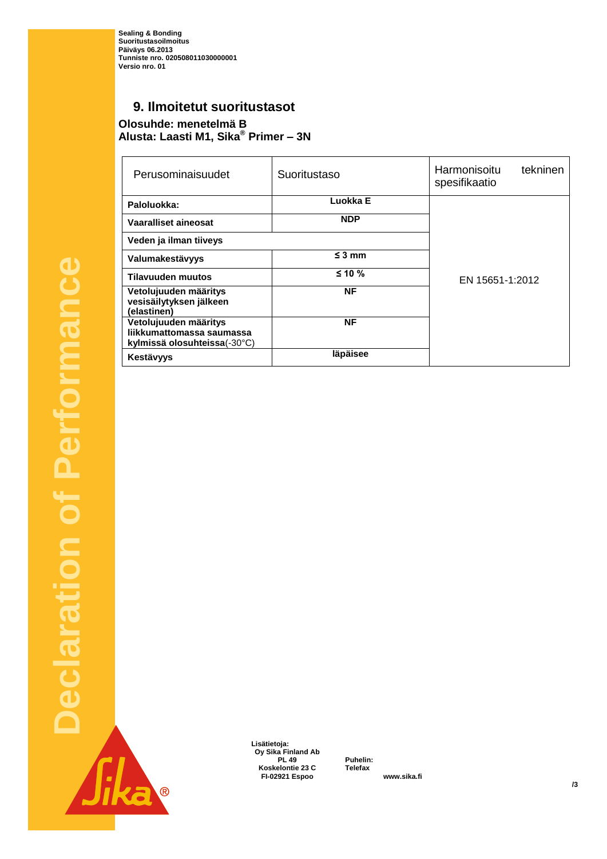**Sealing & Bonding Suoritustasoilmoitus Päiväys 06.2013 Tunniste nro. 020508011030000001 Versio nro. 01**

### **9. Ilmoitetut suoritustasot**

**Olosuhde: menetelmä B Alusta: Laasti M1, Sika® Primer – 3N**

| Perusominaisuudet                                                                  | Suoritustaso | tekninen<br>Harmonisoitu<br>spesifikaatio |  |
|------------------------------------------------------------------------------------|--------------|-------------------------------------------|--|
| Paloluokka:                                                                        | Luokka E     |                                           |  |
| Vaaralliset aineosat                                                               | <b>NDP</b>   |                                           |  |
| Veden ja ilman tiiveys                                                             |              |                                           |  |
| Valumakestävyys                                                                    | $\leq$ 3 mm  |                                           |  |
| <b>Tilavuuden muutos</b>                                                           | $≤ 10 %$     | EN 15651-1:2012                           |  |
| Vetolujuuden määritys<br>vesisäilytyksen jälkeen<br>(elastinen)                    | <b>NF</b>    |                                           |  |
| Vetolujuuden määritys<br>liikkumattomassa saumassa<br>kylmissä olosuhteissa(-30°C) | <b>NF</b>    |                                           |  |
| Kestävyys                                                                          | läpäisee     |                                           |  |

**Declaration of Performance**  f Performance Declaration Jika®

 **Lisätietoja: Oy Sika Finland Ab Koskelontie 23 C Telefax +358 9 511 43300 FI-02921 Espoo www.sika.fi**

**PL 49 Puhelin: +358 9 544 431**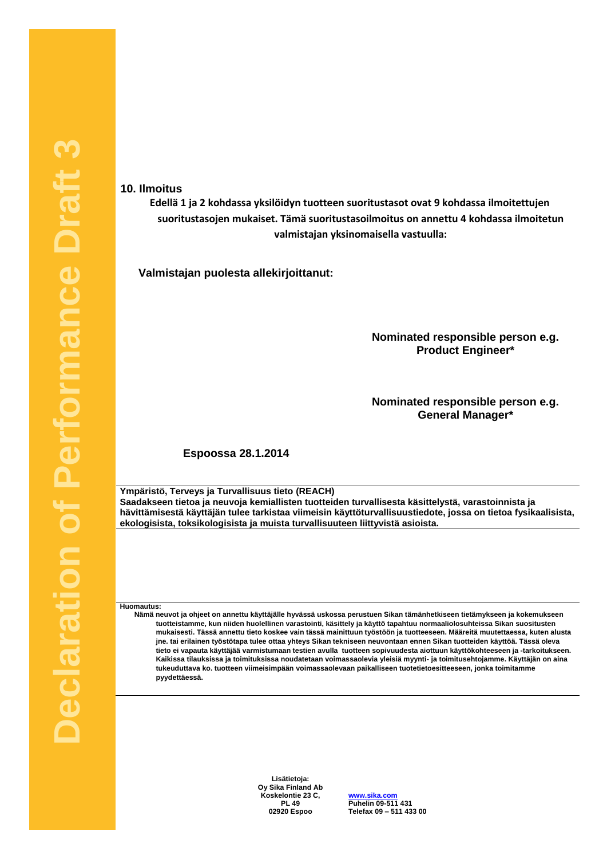**10. Ilmoitus**

**Edellä 1 ja 2 kohdassa yksilöidyn tuotteen suoritustasot ovat 9 kohdassa ilmoitettujen suoritustasojen mukaiset. Tämä suoritustasoilmoitus on annettu 4 kohdassa ilmoitetun valmistajan yksinomaisella vastuulla:**

**Valmistajan puolesta allekirjoittanut:**

**Nominated responsible person e.g. Product Engineer\***

**Nominated responsible person e.g. General Manager\***

**Espoossa 28.1.2014**

**Ympäristö, Terveys ja Turvallisuus tieto (REACH) Saadakseen tietoa ja neuvoja kemiallisten tuotteiden turvallisesta käsittelystä, varastoinnista ja hävittämisestä käyttäjän tulee tarkistaa viimeisin käyttöturvallisuustiedote, jossa on tietoa fysikaalisista, ekologisista, toksikologisista ja muista turvallisuuteen liittyvistä asioista.**

**Huomautus:**

**Nämä neuvot ja ohjeet on annettu käyttäjälle hyvässä uskossa perustuen Sikan tämänhetkiseen tietämykseen ja kokemukseen tuotteistamme, kun niiden huolellinen varastointi, käsittely ja käyttö tapahtuu normaaliolosuhteissa Sikan suositusten mukaisesti. Tässä annettu tieto koskee vain tässä mainittuun työstöön ja tuotteeseen. Määreitä muutettaessa, kuten alusta jne. tai erilainen työstötapa tulee ottaa yhteys Sikan tekniseen neuvontaan ennen Sikan tuotteiden käyttöä. Tässä oleva tieto ei vapauta käyttäjää varmistumaan testien avulla tuotteen sopivuudesta aiottuun käyttökohteeseen ja -tarkoitukseen. Kaikissa tilauksissa ja toimituksissa noudatetaan voimassaolevia yleisiä myynti- ja toimitusehtojamme. Käyttäjän on aina tukeuduttava ko. tuotteen viimeisimpään voimassaolevaan paikalliseen tuotetietoesitteeseen, jonka toimitamme pyydettäessä.**

> **Lisätietoja: Oy Sika Finland Ab Koskelontie 23 C, PL 49**

**www.sika.com Puhelin 09-511 431 +358 9 511 431 02920 Espoo Telefax 09 – 511 433 00 +358 9 511 433 300**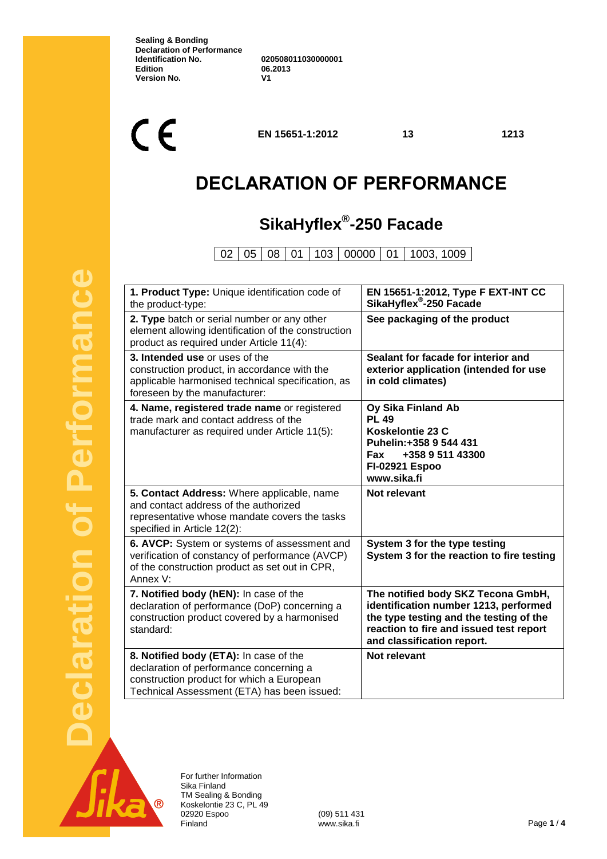**Sealing & Bonding Declaration of Performance Identification No. 020508011030000001 Version No.** 

**Edition 06.2013**

 $C \in$ 

**EN 15651-1:2012 13 1213**

### **DECLARATION OF PERFORMANCE**

### **SikaHyflex® -250 Facade**

02 05 08 01 103 00000 01 1003, 1009

| 1. Product Type: Unique identification code of<br>the product-type:                                                                                                           | EN 15651-1:2012, Type F EXT-INT CC<br>SikaHyflex®-250 Facade                                                                                                                                    |
|-------------------------------------------------------------------------------------------------------------------------------------------------------------------------------|-------------------------------------------------------------------------------------------------------------------------------------------------------------------------------------------------|
| 2. Type batch or serial number or any other<br>element allowing identification of the construction<br>product as required under Article 11(4):                                | See packaging of the product                                                                                                                                                                    |
| 3. Intended use or uses of the<br>construction product, in accordance with the<br>applicable harmonised technical specification, as<br>foreseen by the manufacturer:          | Sealant for facade for interior and<br>exterior application (intended for use<br>in cold climates)                                                                                              |
| 4. Name, registered trade name or registered<br>trade mark and contact address of the<br>manufacturer as required under Article 11(5):                                        | Oy Sika Finland Ab<br><b>PL 49</b><br>Koskelontie 23 C<br>Puhelin: +358 9 544 431<br>+358 9 511 43300<br><b>Fax</b><br><b>FI-02921 Espoo</b><br>www.sika.fi                                     |
| 5. Contact Address: Where applicable, name<br>and contact address of the authorized<br>representative whose mandate covers the tasks<br>specified in Article 12(2):           | Not relevant                                                                                                                                                                                    |
| 6. AVCP: System or systems of assessment and<br>verification of constancy of performance (AVCP)<br>of the construction product as set out in CPR,<br>Annex V:                 | System 3 for the type testing<br>System 3 for the reaction to fire testing                                                                                                                      |
| 7. Notified body (hEN): In case of the<br>declaration of performance (DoP) concerning a<br>construction product covered by a harmonised<br>standard:                          | The notified body SKZ Tecona GmbH,<br>identification number 1213, performed<br>the type testing and the testing of the<br>reaction to fire and issued test report<br>and classification report. |
| 8. Notified body (ETA): In case of the<br>declaration of performance concerning a<br>construction product for which a European<br>Technical Assessment (ETA) has been issued: | <b>Not relevant</b>                                                                                                                                                                             |



For further Information Sika Finland TM Sealing & Bonding Koskelontie 23 C, PL 49 02920 Espoo (09) 511 431<br>
Finland www.sika.fi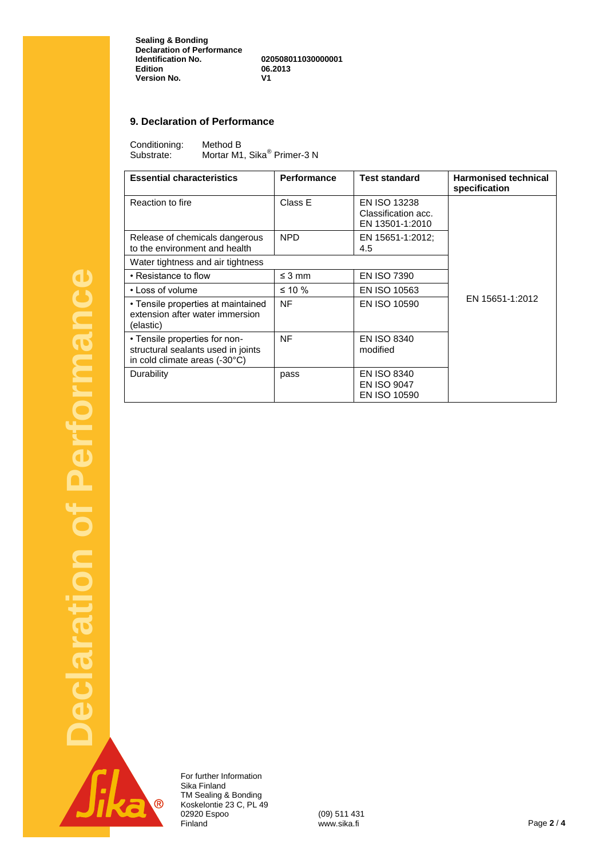**Sealing & Bonding Declaration of Performance Identification No. 020508011030000001 Edition 06.2013 Version No.** 

#### **9. Declaration of Performance**

Conditioning: Method B<br>Substrate: Mortar M1 Substrate: Mortar M1, Sika<sup>®</sup> Primer-3 N

| <b>Essential characteristics</b>                                                                     | <b>Performance</b> | <b>Test standard</b>                                            | <b>Harmonised technical</b><br>specification |
|------------------------------------------------------------------------------------------------------|--------------------|-----------------------------------------------------------------|----------------------------------------------|
| Reaction to fire                                                                                     | Class E            | <b>EN ISO 13238</b><br>Classification acc.<br>EN 13501-1:2010   |                                              |
| Release of chemicals dangerous<br>to the environment and health                                      | <b>NPD</b>         | EN 15651-1:2012;<br>4.5                                         |                                              |
| Water tightness and air tightness                                                                    |                    |                                                                 |                                              |
| • Resistance to flow                                                                                 | $\leq$ 3 mm        | <b>EN ISO 7390</b>                                              |                                              |
| • Loss of volume                                                                                     | $\leq 10 \%$       | EN ISO 10563                                                    |                                              |
| • Tensile properties at maintained<br>extension after water immersion<br>(elastic)                   | <b>NF</b>          | <b>EN ISO 10590</b>                                             | EN 15651-1:2012                              |
| • Tensile properties for non-<br>structural sealants used in joints<br>in cold climate areas (-30°C) | <b>NF</b>          | <b>EN ISO 8340</b><br>modified                                  |                                              |
| Durability                                                                                           | pass               | <b>EN ISO 8340</b><br><b>EN ISO 9047</b><br><b>EN ISO 10590</b> |                                              |

 $\overline{\mathcal{R}}$ 

For further Information Sika Finland TM Sealing & Bonding Koskelontie 23 C, PL 49 02920 Espoo (09) 511 431

Finland www.sika.fi Page **2** / **4**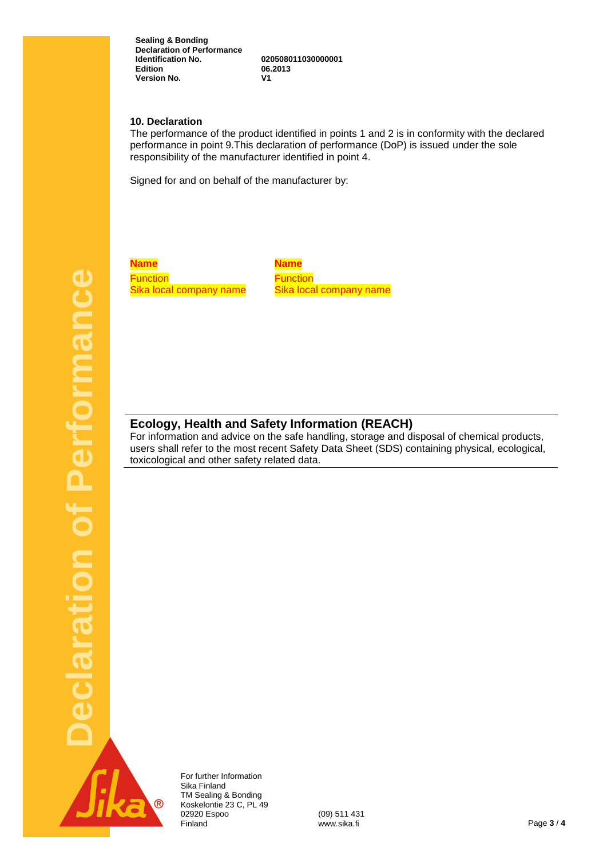**Sealing & Bonding Declaration of Performance Identification No. 020508011030000001 Version No.** 

**Edition 06.2013**

#### **10. Declaration**

The performance of the product identified in points 1 and 2 is in conformity with the declared performance in point 9.This declaration of performance (DoP) is issued under the sole responsibility of the manufacturer identified in point 4.

Signed for and on behalf of the manufacturer by:

**Declaration of Performance**  Performance claration of

**Name Name Function** Sika local company name

**Function** Sika local company name

### **Ecology, Health and Safety Information (REACH)**

For information and advice on the safe handling, storage and disposal of chemical products, users shall refer to the most recent Safety Data Sheet (SDS) containing physical, ecological, toxicological and other safety related data.



For further Information Sika Finland TM Sealing & Bonding Koskelontie 23 C, PL 49 02920 Espoo (09) 511 431<br>Finland www.sika.fi Finland www.sika.fi Page **3** / **4**